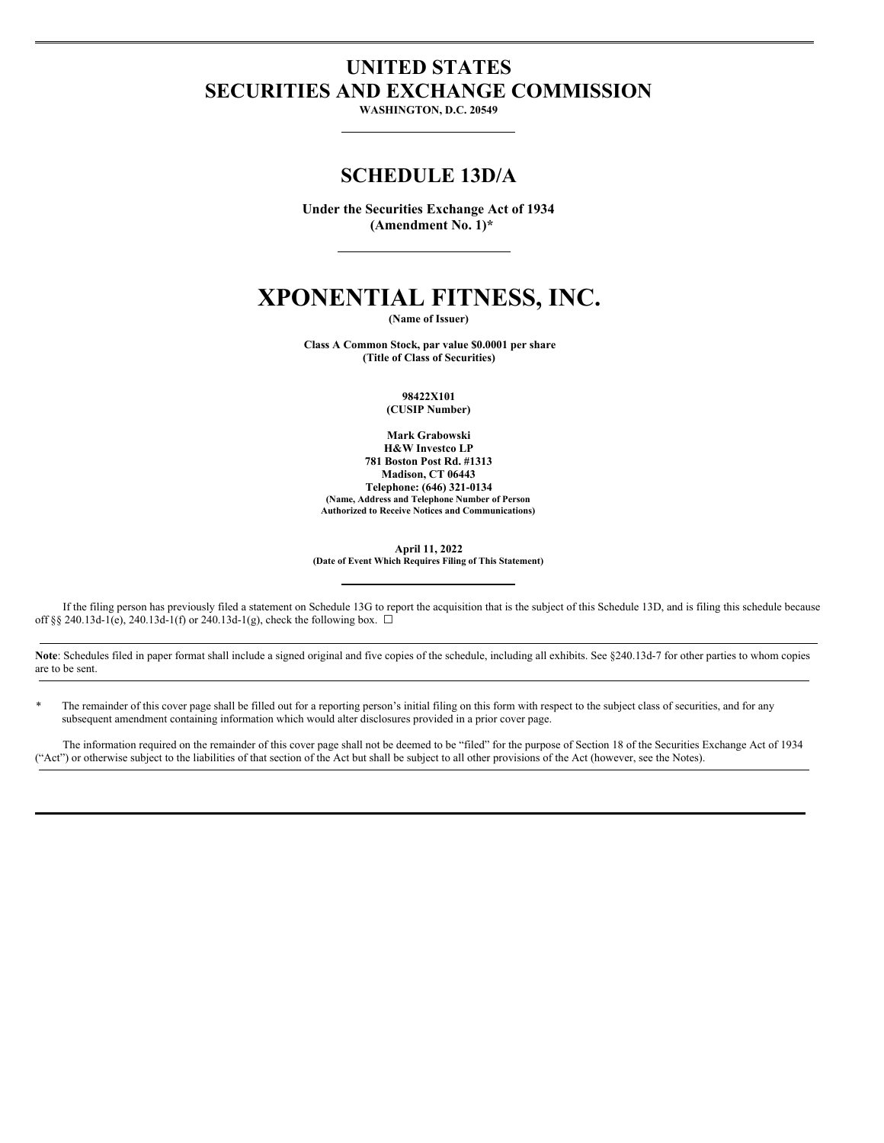## **UNITED STATES SECURITIES AND EXCHANGE COMMISSION**

**WASHINGTON, D.C. 20549**

### **SCHEDULE 13D/A**

**Under the Securities Exchange Act of 1934 (Amendment No. 1)\***

# **XPONENTIAL FITNESS, INC.**

**(Name of Issuer)**

**Class A Common Stock, par value \$0.0001 per share (Title of Class of Securities)**

**98422X101**

**(CUSIP Number)**

**Mark Grabowski H&W Investco LP 781 Boston Post Rd. #1313 Madison, CT 06443 Telephone: (646) 321-0134 (Name, Address and Telephone Number of Person Authorized to Receive Notices and Communications)**

**April 11, 2022 (Date of Event Which Requires Filing of This Statement)**

If the filing person has previously filed a statement on Schedule 13G to report the acquisition that is the subject of this Schedule 13D, and is filing this schedule because off §§ 240.13d-1(e), 240.13d-1(f) or 240.13d-1(g), check the following box.  $\Box$ 

Note: Schedules filed in paper format shall include a signed original and five copies of the schedule, including all exhibits. See §240.13d-7 for other parties to whom copies are to be sent.

The remainder of this cover page shall be filled out for a reporting person's initial filing on this form with respect to the subject class of securities, and for any subsequent amendment containing information which would alter disclosures provided in a prior cover page.

The information required on the remainder of this cover page shall not be deemed to be "filed" for the purpose of Section 18 of the Securities Exchange Act of 1934 ("Act") or otherwise subject to the liabilities of that section of the Act but shall be subject to all other provisions of the Act (however, see the Notes).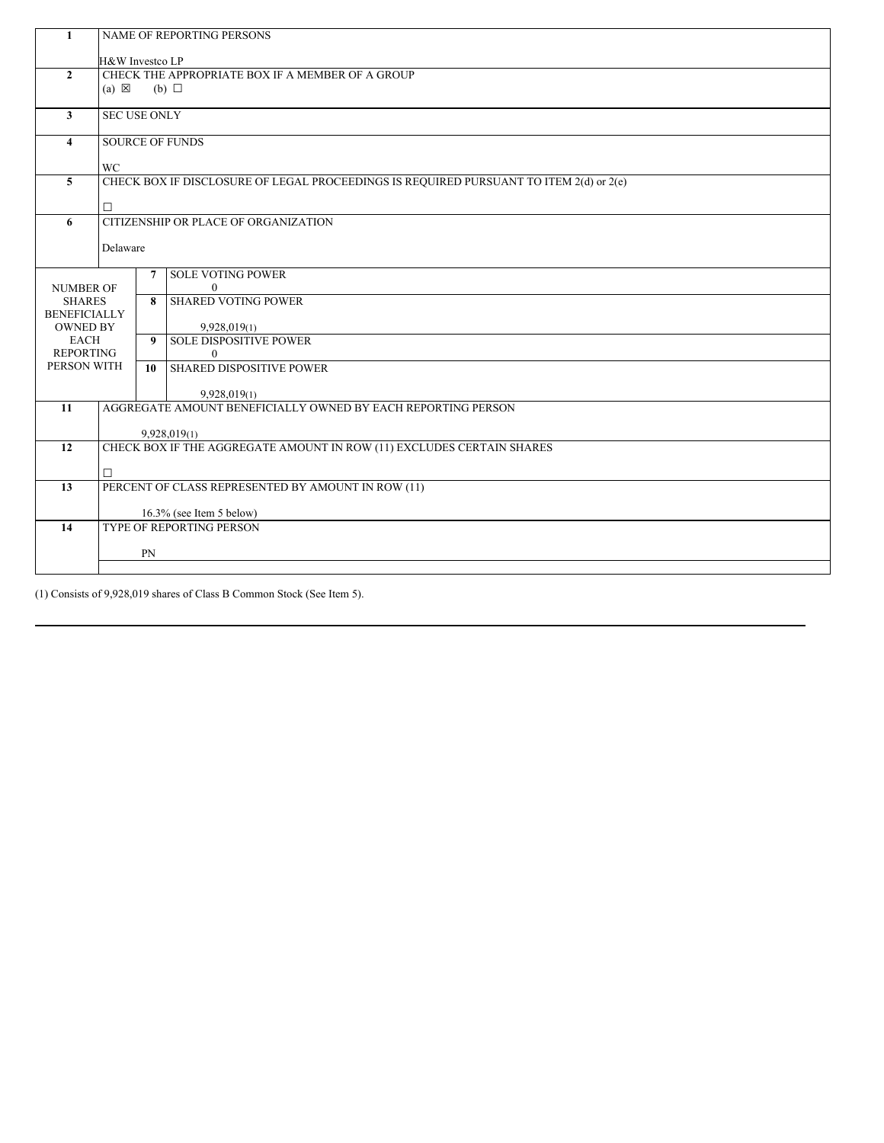| 1                       | NAME OF REPORTING PERSONS                                                    |                                      |                                                                                        |  |  |  |  |  |
|-------------------------|------------------------------------------------------------------------------|--------------------------------------|----------------------------------------------------------------------------------------|--|--|--|--|--|
|                         | H&W Investco LP                                                              |                                      |                                                                                        |  |  |  |  |  |
| $\overline{2}$          | CHECK THE APPROPRIATE BOX IF A MEMBER OF A GROUP                             |                                      |                                                                                        |  |  |  |  |  |
|                         | $(a) \boxtimes$<br>$(b)$ $\square$                                           |                                      |                                                                                        |  |  |  |  |  |
| $\mathbf{3}$            | <b>SEC USE ONLY</b>                                                          |                                      |                                                                                        |  |  |  |  |  |
|                         |                                                                              |                                      |                                                                                        |  |  |  |  |  |
| 4                       | <b>SOURCE OF FUNDS</b>                                                       |                                      |                                                                                        |  |  |  |  |  |
|                         | WC                                                                           |                                      |                                                                                        |  |  |  |  |  |
| $\overline{5}$          |                                                                              |                                      | CHECK BOX IF DISCLOSURE OF LEGAL PROCEEDINGS IS REQUIRED PURSUANT TO ITEM 2(d) or 2(e) |  |  |  |  |  |
|                         |                                                                              |                                      |                                                                                        |  |  |  |  |  |
|                         | $\Box$                                                                       |                                      |                                                                                        |  |  |  |  |  |
| 6                       |                                                                              | CITIZENSHIP OR PLACE OF ORGANIZATION |                                                                                        |  |  |  |  |  |
|                         | Delaware                                                                     |                                      |                                                                                        |  |  |  |  |  |
|                         |                                                                              |                                      |                                                                                        |  |  |  |  |  |
| <b>NUMBER OF</b>        |                                                                              | $\overline{7}$                       | <b>SOLE VOTING POWER</b><br>$\theta$                                                   |  |  |  |  |  |
| <b>SHARES</b>           |                                                                              |                                      | 8   SHARED VOTING POWER                                                                |  |  |  |  |  |
| <b>BENEFICIALLY</b>     |                                                                              |                                      |                                                                                        |  |  |  |  |  |
| <b>OWNED BY</b><br>EACH |                                                                              |                                      | 9,928,019(1)<br>9 SOLE DISPOSITIVE POWER                                               |  |  |  |  |  |
| <b>REPORTING</b>        |                                                                              |                                      | $\theta$                                                                               |  |  |  |  |  |
| PERSON WITH             |                                                                              |                                      | 10 SHARED DISPOSITIVE POWER                                                            |  |  |  |  |  |
|                         |                                                                              |                                      |                                                                                        |  |  |  |  |  |
| 11                      | 9,928,019(1)<br>AGGREGATE AMOUNT BENEFICIALLY OWNED BY EACH REPORTING PERSON |                                      |                                                                                        |  |  |  |  |  |
|                         |                                                                              |                                      |                                                                                        |  |  |  |  |  |
|                         | 9,928,019(1)                                                                 |                                      |                                                                                        |  |  |  |  |  |
| 12                      | CHECK BOX IF THE AGGREGATE AMOUNT IN ROW (11) EXCLUDES CERTAIN SHARES        |                                      |                                                                                        |  |  |  |  |  |
|                         | □                                                                            |                                      |                                                                                        |  |  |  |  |  |
| 13                      | PERCENT OF CLASS REPRESENTED BY AMOUNT IN ROW (11)                           |                                      |                                                                                        |  |  |  |  |  |
|                         |                                                                              |                                      |                                                                                        |  |  |  |  |  |
| 14                      | 16.3% (see Item 5 below)<br><b>TYPE OF REPORTING PERSON</b>                  |                                      |                                                                                        |  |  |  |  |  |
|                         |                                                                              |                                      |                                                                                        |  |  |  |  |  |
|                         | PN                                                                           |                                      |                                                                                        |  |  |  |  |  |
|                         |                                                                              |                                      |                                                                                        |  |  |  |  |  |

(1) Consists of 9,928,019 shares of Class B Common Stock (See Item 5).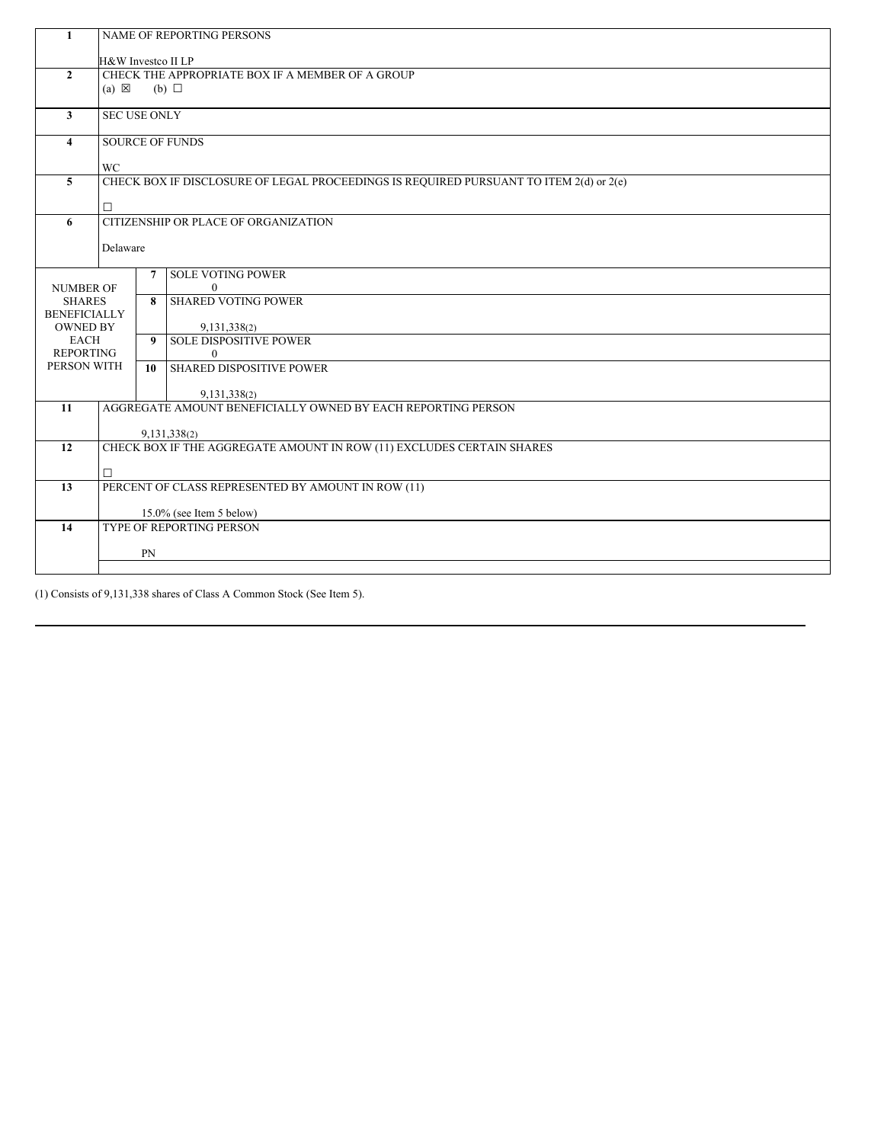| 1                                    |                                                                                        |                                      |                             |  |  |  |  |  |  |
|--------------------------------------|----------------------------------------------------------------------------------------|--------------------------------------|-----------------------------|--|--|--|--|--|--|
|                                      | <b>NAME OF REPORTING PERSONS</b>                                                       |                                      |                             |  |  |  |  |  |  |
|                                      |                                                                                        | H&W Investco II LP                   |                             |  |  |  |  |  |  |
| $\overline{2}$                       | CHECK THE APPROPRIATE BOX IF A MEMBER OF A GROUP                                       |                                      |                             |  |  |  |  |  |  |
|                                      | $(a) \boxtimes$<br>(b) $\Box$                                                          |                                      |                             |  |  |  |  |  |  |
| $\mathbf{3}$                         |                                                                                        |                                      |                             |  |  |  |  |  |  |
|                                      | <b>SEC USE ONLY</b>                                                                    |                                      |                             |  |  |  |  |  |  |
| 4                                    | <b>SOURCE OF FUNDS</b>                                                                 |                                      |                             |  |  |  |  |  |  |
|                                      | WC                                                                                     |                                      |                             |  |  |  |  |  |  |
| $\overline{5}$                       | CHECK BOX IF DISCLOSURE OF LEGAL PROCEEDINGS IS REQUIRED PURSUANT TO ITEM 2(d) or 2(e) |                                      |                             |  |  |  |  |  |  |
|                                      |                                                                                        |                                      |                             |  |  |  |  |  |  |
|                                      |                                                                                        |                                      |                             |  |  |  |  |  |  |
| 6                                    |                                                                                        | CITIZENSHIP OR PLACE OF ORGANIZATION |                             |  |  |  |  |  |  |
|                                      | Delaware                                                                               |                                      |                             |  |  |  |  |  |  |
|                                      |                                                                                        |                                      |                             |  |  |  |  |  |  |
|                                      |                                                                                        | $\overline{7}$                       | <b>SOLE VOTING POWER</b>    |  |  |  |  |  |  |
| <b>NUMBER OF</b>                     |                                                                                        |                                      | $\theta$                    |  |  |  |  |  |  |
| <b>SHARES</b><br><b>BENEFICIALLY</b> |                                                                                        |                                      | 8   SHARED VOTING POWER     |  |  |  |  |  |  |
| <b>OWNED BY</b>                      |                                                                                        |                                      | 9,131,338(2)                |  |  |  |  |  |  |
| EACH                                 |                                                                                        |                                      | 9 SOLE DISPOSITIVE POWER    |  |  |  |  |  |  |
| <b>REPORTING</b>                     |                                                                                        |                                      | $\overline{0}$              |  |  |  |  |  |  |
| PERSON WITH                          |                                                                                        |                                      | 10 SHARED DISPOSITIVE POWER |  |  |  |  |  |  |
|                                      |                                                                                        |                                      | 9,131,338(2)                |  |  |  |  |  |  |
| 11                                   | AGGREGATE AMOUNT BENEFICIALLY OWNED BY EACH REPORTING PERSON                           |                                      |                             |  |  |  |  |  |  |
|                                      |                                                                                        |                                      |                             |  |  |  |  |  |  |
|                                      | 9,131,338(2)                                                                           |                                      |                             |  |  |  |  |  |  |
| 12                                   | CHECK BOX IF THE AGGREGATE AMOUNT IN ROW (11) EXCLUDES CERTAIN SHARES                  |                                      |                             |  |  |  |  |  |  |
|                                      | □                                                                                      |                                      |                             |  |  |  |  |  |  |
| 13                                   | PERCENT OF CLASS REPRESENTED BY AMOUNT IN ROW (11)                                     |                                      |                             |  |  |  |  |  |  |
|                                      |                                                                                        |                                      |                             |  |  |  |  |  |  |
| 14                                   | $15.0\%$ (see Item 5 below)<br><b>TYPE OF REPORTING PERSON</b>                         |                                      |                             |  |  |  |  |  |  |
|                                      |                                                                                        |                                      |                             |  |  |  |  |  |  |
|                                      | PN                                                                                     |                                      |                             |  |  |  |  |  |  |
|                                      |                                                                                        |                                      |                             |  |  |  |  |  |  |

(1) Consists of 9,131,338 shares of Class A Common Stock (See Item 5).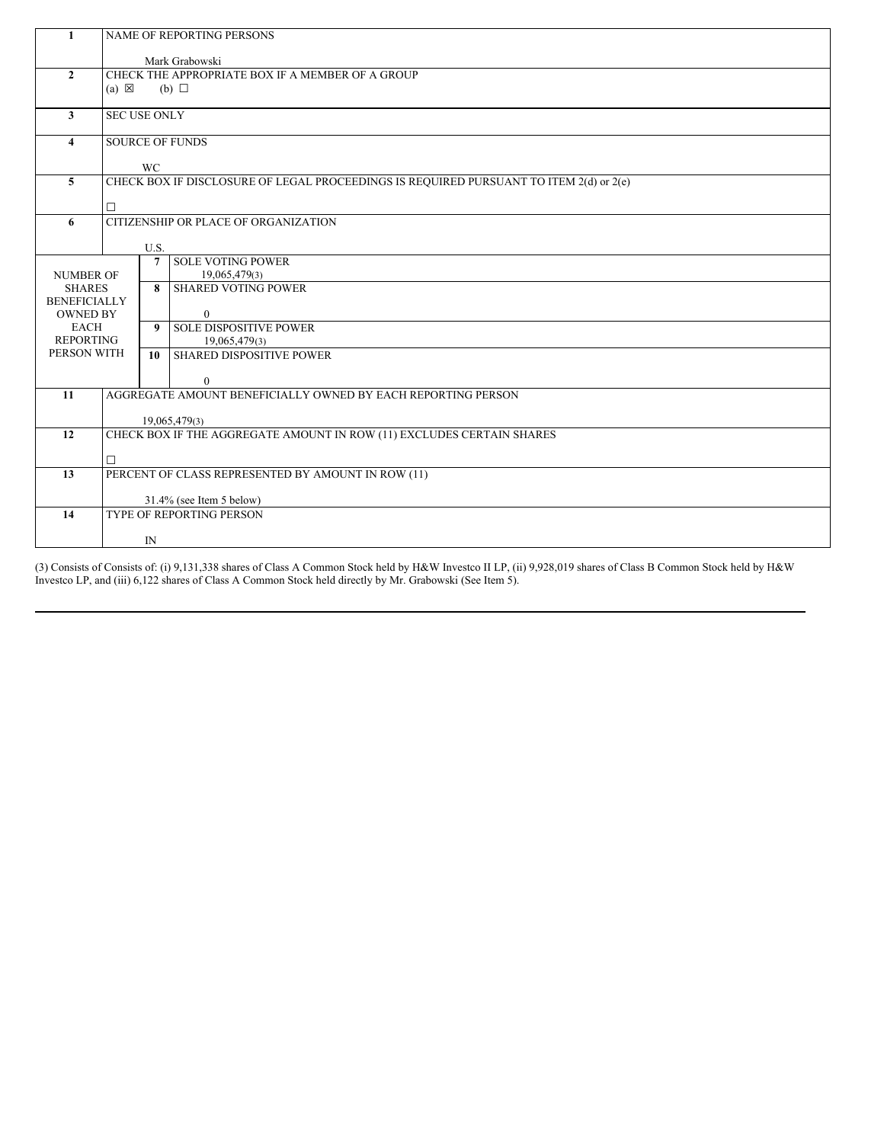| $\mathbf{1}$                    | NAME OF REPORTING PERSONS                                                              |                        |                                                              |  |  |  |  |
|---------------------------------|----------------------------------------------------------------------------------------|------------------------|--------------------------------------------------------------|--|--|--|--|
|                                 |                                                                                        |                        |                                                              |  |  |  |  |
|                                 | Mark Grabowski                                                                         |                        |                                                              |  |  |  |  |
| $\overline{2}$                  | CHECK THE APPROPRIATE BOX IF A MEMBER OF A GROUP                                       |                        |                                                              |  |  |  |  |
|                                 | $(a) \boxtimes$                                                                        |                        | $(b)$ $\square$                                              |  |  |  |  |
| $\mathbf{3}$                    | <b>SEC USE ONLY</b>                                                                    |                        |                                                              |  |  |  |  |
|                                 |                                                                                        |                        |                                                              |  |  |  |  |
| $\overline{4}$                  | <b>SOURCE OF FUNDS</b>                                                                 |                        |                                                              |  |  |  |  |
|                                 |                                                                                        |                        |                                                              |  |  |  |  |
| $\overline{5}$                  | WC                                                                                     |                        |                                                              |  |  |  |  |
|                                 | CHECK BOX IF DISCLOSURE OF LEGAL PROCEEDINGS IS REQUIRED PURSUANT TO ITEM 2(d) or 2(e) |                        |                                                              |  |  |  |  |
|                                 | □                                                                                      |                        |                                                              |  |  |  |  |
| 6                               | CITIZENSHIP OR PLACE OF ORGANIZATION                                                   |                        |                                                              |  |  |  |  |
|                                 |                                                                                        |                        |                                                              |  |  |  |  |
|                                 |                                                                                        | U.S.<br>$\overline{7}$ | <b>SOLE VOTING POWER</b>                                     |  |  |  |  |
| <b>NUMBER OF</b>                |                                                                                        |                        | 19,065,479(3)                                                |  |  |  |  |
| <b>SHARES</b>                   |                                                                                        |                        | 8 SHARED VOTING POWER                                        |  |  |  |  |
| <b>BENEFICIALLY</b>             |                                                                                        |                        |                                                              |  |  |  |  |
| <b>OWNED BY</b>                 |                                                                                        |                        | $\mathbf{0}$                                                 |  |  |  |  |
| <b>EACH</b>                     |                                                                                        |                        | 9 SOLE DISPOSITIVE POWER                                     |  |  |  |  |
| <b>REPORTING</b><br>PERSON WITH |                                                                                        |                        | 19,065,479(3)<br><b>SHARED DISPOSITIVE POWER</b>             |  |  |  |  |
|                                 |                                                                                        | 10                     |                                                              |  |  |  |  |
|                                 |                                                                                        |                        | $\mathbf{0}$                                                 |  |  |  |  |
| 11                              |                                                                                        |                        | AGGREGATE AMOUNT BENEFICIALLY OWNED BY EACH REPORTING PERSON |  |  |  |  |
|                                 |                                                                                        |                        |                                                              |  |  |  |  |
| 12                              | 19,065,479(3)<br>CHECK BOX IF THE AGGREGATE AMOUNT IN ROW (11) EXCLUDES CERTAIN SHARES |                        |                                                              |  |  |  |  |
|                                 |                                                                                        |                        |                                                              |  |  |  |  |
|                                 | □                                                                                      |                        |                                                              |  |  |  |  |
| 13                              | PERCENT OF CLASS REPRESENTED BY AMOUNT IN ROW (11)                                     |                        |                                                              |  |  |  |  |
|                                 |                                                                                        |                        |                                                              |  |  |  |  |
| 14                              | 31.4% (see Item 5 below)<br>TYPE OF REPORTING PERSON                                   |                        |                                                              |  |  |  |  |
|                                 |                                                                                        |                        |                                                              |  |  |  |  |
|                                 | IN                                                                                     |                        |                                                              |  |  |  |  |

(3) Consists of Consists of: (i) 9,131,338 shares of Class A Common Stock held by H&W Investco II LP, (ii) 9,928,019 shares of Class B Common Stock held by H&W Investco LP, and (iii) 6,122 shares of Class A Common Stock held directly by Mr. Grabowski (See Item 5).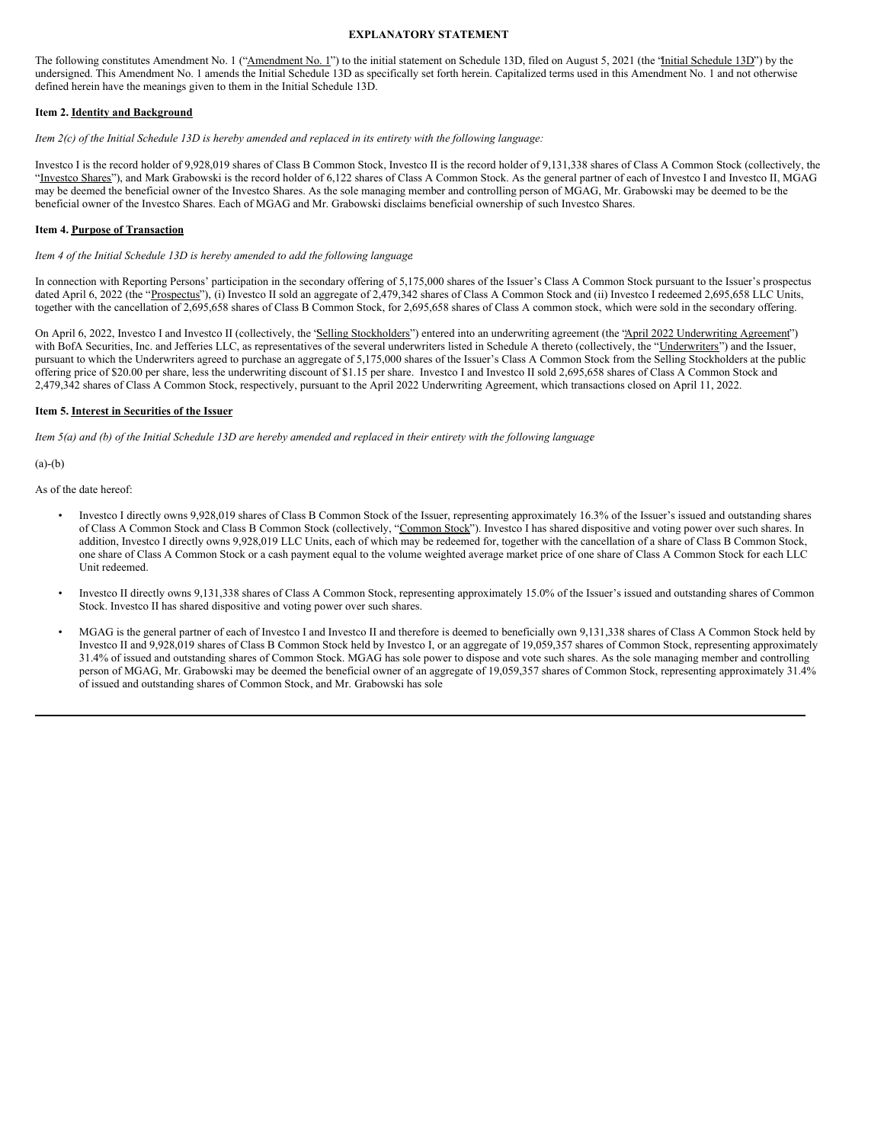#### **EXPLANATORY STATEMENT**

The following constitutes Amendment No. 1 ("Amendment No. 1") to the initial statement on Schedule 13D, filed on August 5, 2021 (the "Initial Schedule 13D") by the undersigned. This Amendment No. 1 amends the Initial Schedule 13D as specifically set forth herein. Capitalized terms used in this Amendment No. 1 and not otherwise defined herein have the meanings given to them in the Initial Schedule 13D.

#### **Item 2. Identity and Background**

Item 2(c) of the Initial Schedule 13D is hereby amended and replaced in its entirety with the following language:

Investco I is the record holder of 9,928,019 shares of Class B Common Stock, Investco II is the record holder of 9,131,338 shares of Class A Common Stock (collectively, the "Investco Shares"), and Mark Grabowski is the record holder of 6,122 shares of Class A Common Stock. As the general partner of each of Investco I and Investco II, MGAG may be deemed the beneficial owner of the Investco Shares. As the sole managing member and controlling person of MGAG, Mr. Grabowski may be deemed to be the beneficial owner of the Investco Shares. Each of MGAG and Mr. Grabowski disclaims beneficial ownership of such Investco Shares.

#### **Item 4. Purpose of Transaction**

*Item 4 of the Initial Schedule 13D is hereby amended to add the following language*:

In connection with Reporting Persons' participation in the secondary offering of 5,175,000 shares of the Issuer's Class A Common Stock pursuant to the Issuer's prospectus dated April 6, 2022 (the "Prospectus"), (i) Investco II sold an aggregate of 2,479,342 shares of Class A Common Stock and (ii) Investco I redeemed 2,695,658 LLC Units, together with the cancellation of 2,695,658 shares of Class B Common Stock, for 2,695,658 shares of Class A common stock, which were sold in the secondary offering.

On April 6, 2022, Investco I and Investco II (collectively, the 'Selling Stockholders'') entered into an underwriting agreement (the 'April 2022 Underwriting Agreement') with BofA Securities, Inc. and Jefferies LLC, as representatives of the several underwriters listed in Schedule A thereto (collectively, the "Underwriters") and the Issuer, pursuant to which the Underwriters agreed to purchase an aggregate of 5,175,000 shares of the Issuer's Class A Common Stock from the Selling Stockholders at the public offering price of \$20.00 per share, less the underwriting discount of \$1.15 per share. Investco I and Investco II sold 2,695,658 shares of Class A Common Stock and 2,479,342 shares of Class A Common Stock, respectively, pursuant to the April 2022 Underwriting Agreement, which transactions closed on April 11, 2022.

#### **Item 5. Interest in Securities of the Issuer**

Item 5(a) and (b) of the Initial Schedule 13D are hereby amended and replaced in their entirety with the following language

 $(a)-(b)$ 

As of the date hereof:

- Investco I directly owns 9,928,019 shares of Class B Common Stock of the Issuer, representing approximately 16.3% of the Issuer's issued and outstanding shares of Class A Common Stock and Class B Common Stock (collectively, "Common Stock"). Investco I has shared dispositive and voting power over such shares. In addition, Investco I directly owns 9,928,019 LLC Units, each of which may be redeemed for, together with the cancellation of a share of Class B Common Stock, one share of Class A Common Stock or a cash payment equal to the volume weighted average market price of one share of Class A Common Stock for each LLC Unit redeemed.
- Investco II directly owns 9,131,338 shares of Class A Common Stock, representing approximately 15.0% of the Issuer's issued and outstanding shares of Common Stock. Investco II has shared dispositive and voting power over such shares.
- MGAG is the general partner of each of Investco I and Investco II and therefore is deemed to beneficially own 9,131,338 shares of Class A Common Stock held by Investco II and 9,928,019 shares of Class B Common Stock held by Investco I, or an aggregate of 19,059,357 shares of Common Stock, representing approximately 31.4% of issued and outstanding shares of Common Stock. MGAG has sole power to dispose and vote such shares. As the sole managing member and controlling person of MGAG, Mr. Grabowski may be deemed the beneficial owner of an aggregate of 19,059,357 shares of Common Stock, representing approximately 31.4% of issued and outstanding shares of Common Stock, and Mr. Grabowski has sole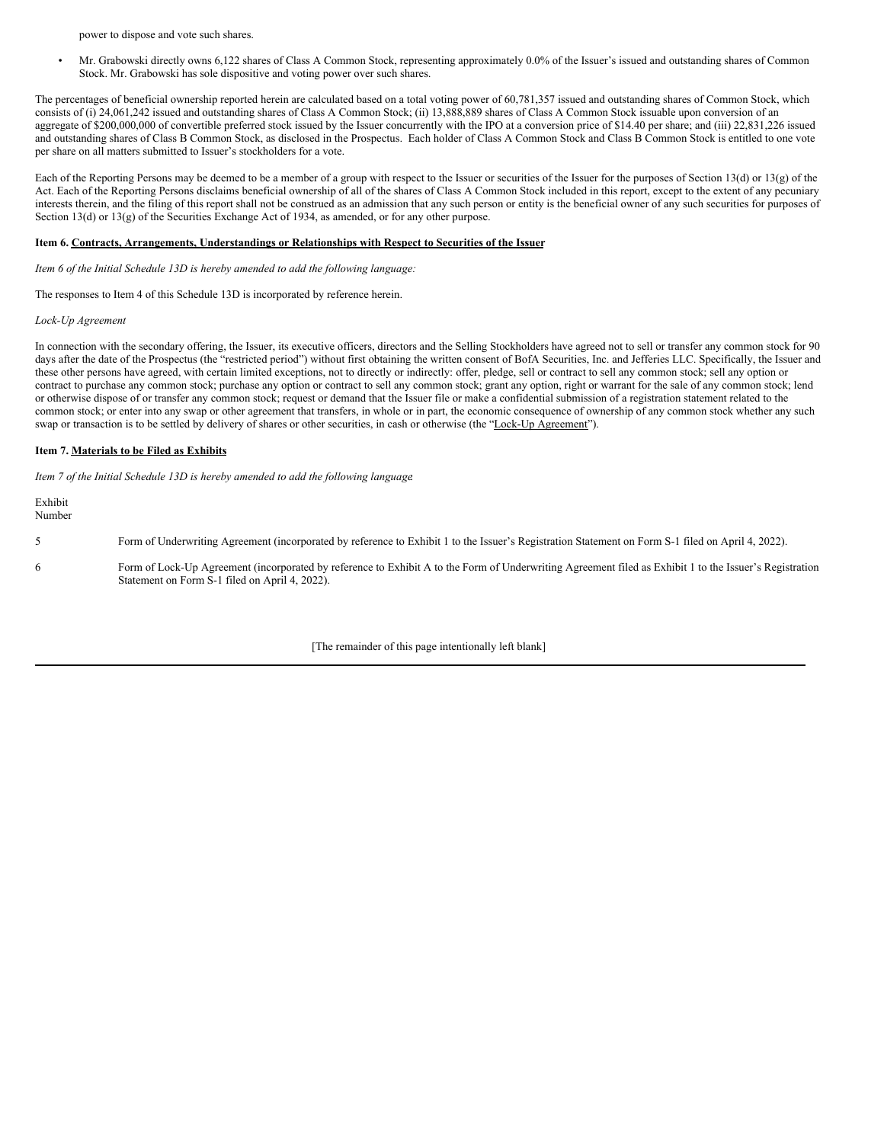power to dispose and vote such shares.

• Mr. Grabowski directly owns 6,122 shares of Class A Common Stock, representing approximately 0.0% of the Issuer's issued and outstanding shares of Common Stock. Mr. Grabowski has sole dispositive and voting power over such shares.

The percentages of beneficial ownership reported herein are calculated based on a total voting power of 60,781,357 issued and outstanding shares of Common Stock, which consists of (i) 24,061,242 issued and outstanding shares of Class A Common Stock; (ii) 13,888,889 shares of Class A Common Stock issuable upon conversion of an aggregate of \$200,000,000 of convertible preferred stock issued by the Issuer concurrently with the IPO at a conversion price of \$14.40 per share; and (iii) 22,831,226 issued and outstanding shares of Class B Common Stock, as disclosed in the Prospectus. Each holder of Class A Common Stock and Class B Common Stock is entitled to one vote per share on all matters submitted to Issuer's stockholders for a vote.

Each of the Reporting Persons may be deemed to be a member of a group with respect to the Issuer or securities of the Issuer for the purposes of Section 13(d) or 13(g) of the Act. Each of the Reporting Persons disclaims beneficial ownership of all of the shares of Class A Common Stock included in this report, except to the extent of any pecuniary interests therein, and the filing of this report shall not be construed as an admission that any such person or entity is the beneficial owner of any such securities for purposes of Section 13(d) or 13(g) of the Securities Exchange Act of 1934, as amended, or for any other purpose.

#### **Item 6. Contracts, Arrangements, Understandings or Relationships with Respect to Securities of the Issuer**

*Item 6 of the Initial Schedule 13D is hereby amended to add the following language:*

The responses to Item 4 of this Schedule 13D is incorporated by reference herein.

*Lock-Up Agreement*

In connection with the secondary offering, the Issuer, its executive officers, directors and the Selling Stockholders have agreed not to sell or transfer any common stock for 90 days after the date of the Prospectus (the "restricted period") without first obtaining the written consent of BofA Securities, Inc. and Jefferies LLC. Specifically, the Issuer and these other persons have agreed, with certain limited exceptions, not to directly or indirectly: offer, pledge, sell or contract to sell any common stock; sell any option or contract to purchase any common stock; purchase any option or contract to sell any common stock; grant any option, right or warrant for the sale of any common stock; lend or otherwise dispose of or transfer any common stock; request or demand that the Issuer file or make a confidential submission of a registration statement related to the common stock; or enter into any swap or other agreement that transfers, in whole or in part, the economic consequence of ownership of any common stock whether any such swap or transaction is to be settled by delivery of shares or other securities, in cash or otherwise (the "Lock-Up Agreement").

#### **Item 7. Materials to be Filed as Exhibits**

*Item 7 of the Initial Schedule 13D is hereby amended to add the following language*:

Exhibit Number

- 5 Form of Underwriting Agreement (incorporated by reference to Exhibit 1 to the Issuer's Registration Statement on Form S-1 filed on April 4, 2022).
- 6 Form of Lock-Up Agreement (incorporated by reference to Exhibit A to the Form of Underwriting Agreement filed as Exhibit 1 to the Issuer's Registration Statement on Form S-1 filed on April 4, 2022).

[The remainder of this page intentionally left blank]